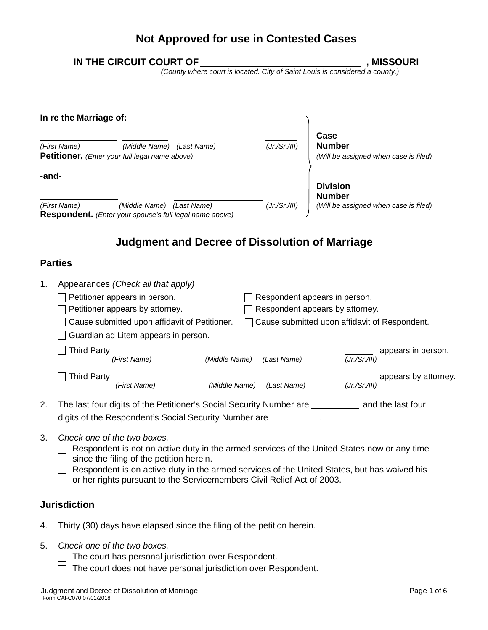# **Not Approved for use in Contested Cases**

|       | IN THE CIRCUIT COURT OF                                                                                                                                    |                           |                                                                | <b>MISSOURI</b>      |
|-------|------------------------------------------------------------------------------------------------------------------------------------------------------------|---------------------------|----------------------------------------------------------------|----------------------|
|       | (County where court is located. City of Saint Louis is considered a county.)                                                                               |                           |                                                                |                      |
|       | In re the Marriage of:                                                                                                                                     |                           |                                                                |                      |
|       | (First Name)<br>(Middle Name) (Last Name)<br>Petitioner, (Enter your full legal name above)                                                                | (Jr./Sr./III)             | Case<br><b>Number</b><br>(Will be assigned when case is filed) |                      |
| -and- |                                                                                                                                                            |                           | <b>Division</b><br>Number.                                     |                      |
|       | (First Name)<br>(Middle Name) (Last Name)<br>Respondent. (Enter your spouse's full legal name above)                                                       | (Jr./Sr./III)             | (Will be assigned when case is filed)                          |                      |
| 1.    | Appearances (Check all that apply)<br>Petitioner appears in person.                                                                                        |                           | Respondent appears in person.                                  |                      |
|       | Petitioner appears by attorney.                                                                                                                            |                           | Respondent appears by attorney.                                |                      |
|       | Cause submitted upon affidavit of Petitioner.<br>Guardian ad Litem appears in person.                                                                      |                           | Cause submitted upon affidavit of Respondent.                  |                      |
|       | <b>Third Party</b><br>(First Name)                                                                                                                         | (Middle Name) (Last Name) | (Tr/Sr/III)                                                    | appears in person.   |
|       | <b>Third Party</b><br>(First Name)                                                                                                                         | (Middle Name) (Last Name) | (Jr./Sr./III)                                                  | appears by attorney. |
| 2.    | The last four digits of the Petitioner's Social Security Number are ___________ and the last four<br>digits of the Respondent's Social Security Number are |                           |                                                                |                      |
| 3.    | Check one of the two boxes.<br>Depression is not an eating duty in the organized can issue of the United Ctates now as any time                            |                           |                                                                |                      |

- $\Box$  Respondent is not on active duty in the armed services of the United States now or any time since the filing of the petition herein.
- $\Box$  Respondent is on active duty in the armed services of the United States, but has waived his or her rights pursuant to the Servicemembers Civil Relief Act of 2003.

### **Jurisdiction**

- 4. Thirty (30) days have elapsed since the filing of the petition herein.
- 5. *Check one of the two boxes.*
	- $\Box$  The court has personal jurisdiction over Respondent.
	- The court does not have personal jurisdiction over Respondent. $\Box$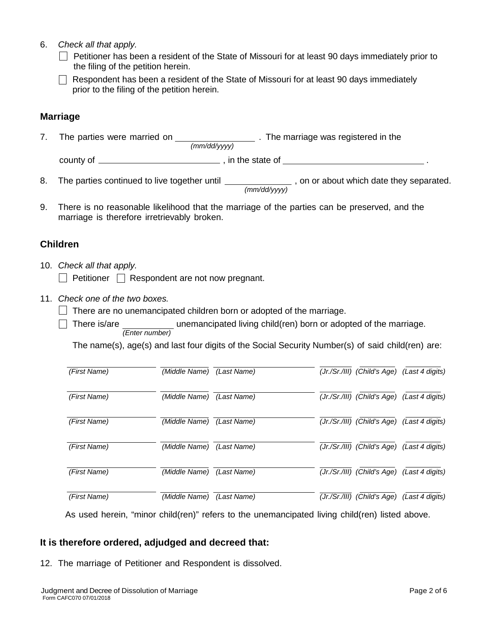- 6. *Check all that apply.*
	- $\Box$  Petitioner has been a resident of the State of Missouri for at least 90 days immediately prior to the filing of the petition herein.
	- $\Box$  Respondent has been a resident of the State of Missouri for at least 90 days immediately prior to the filing of the petition herein.

### **Marriage**

7. The parties were married on **The Martiage was registered in the** *(mm/dd/yyyy)* county of , in the state of .

8. The parties continued to live together until **contain the set of a contact**, on or about which date they separated.

*(mm/dd/yyyy)*

9. There is no reasonable likelihood that the marriage of the parties can be preserved, and the marriage is therefore irretrievably broken.

#### **Children**

- 10. *Check all that apply.*  $\Box$  Petitioner  $\Box$  Respondent are not now pregnant.
- 11. *Check one of the two boxes.*
	- $\Box$  There are no unemancipated children born or adopted of the marriage.
	- $\_$  unemancipated living child(ren) born or adopted of the marriage. *(Enter number)*

The name(s), age(s) and last four digits of the Social Security Number(s) of said child(ren) are:

| (First Name) | (Middle Name) | (Last Name) | (Jr./Sr./III) (Child's Age)   | (Last 4 digits)                             |
|--------------|---------------|-------------|-------------------------------|---------------------------------------------|
| (First Name) | (Middle Name) | (Last Name) |                               | (Jr./Sr./III) (Child's Age) (Last 4 digits) |
| (First Name) | (Middle Name) | (Last Name) |                               | (Jr./Sr./III) (Child's Age) (Last 4 digits) |
| (First Name) | (Middle Name) | (Last Name) | (Jr./Sr./III) (Child's Age)   | (Last 4 digits)                             |
| (First Name) | (Middle Name) | (Last Name) |                               | (Jr./Sr./III) (Child's Age) (Last 4 digits) |
| (First Name) | (Middle Name) | (Last Name) | $(Jr./Sr./III)$ (Child's Age) | (Last 4 digits)                             |

As used herein, "minor child(ren)" refers to the unemancipated living child(ren) listed above.

#### **It is therefore ordered, adjudged and decreed that:**

12. The marriage of Petitioner and Respondent is dissolved.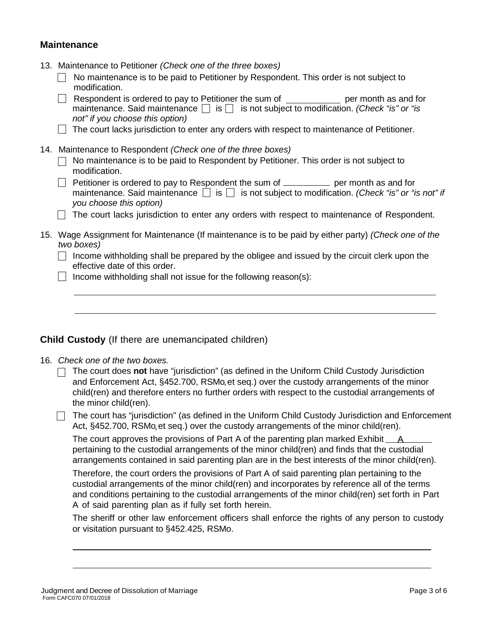#### **Maintenance**

- 13. Maintenance to Petitioner *(Check one of the three boxes)*
	- No maintenance is to be paid to Petitioner by Respondent. This order is not subject to modification.
	- Respondent is ordered to pay to Petitioner the sum of  $\Box$  per month as and for maintenance. Said maintenance  $\Box$  is  $\Box$  is not subject to modification. *(Check "is" or "is not" if you choose this option)*
	- $\Box$  The court lacks jurisdiction to enter any orders with respect to maintenance of Petitioner.
- 14. Maintenance to Respondent *(Check one of the three boxes)*
	- $\Box$  No maintenance is to be paid to Respondent by Petitioner. This order is not subject to modification.
	- Petitioner is ordered to pay to Respondent the sum of  $\Box$  per month as and for maintenance. Said maintenance  $\Box$  is  $\Box$  is not subject to modification. *(Check "is" or "is not" if you choose this option)*
	- $\Box$  The court lacks jurisdiction to enter any orders with respect to maintenance of Respondent.
- 15. Wage Assignment for Maintenance (If maintenance is to be paid by either party) *(Check one of the two boxes)*
	- $\Box$  Income withholding shall be prepared by the obligee and issued by the circuit clerk upon the effective date of this order.
	- $\Box$  Income withholding shall not issue for the following reason(s):

#### **Child Custody** (If there are unemancipated children)

16. *Check one of the two boxes.*

The court does **not** have "jurisdiction" (as defined in the Uniform Child Custody Jurisdiction and Enforcement Act, §452.700, RSMo,et seq.) over the custody arrangements of the minor child(ren) and therefore enters no further orders with respect to the custodial arrangements of the minor child(ren).

 $\Box$  The court has "jurisdiction" (as defined in the Uniform Child Custody Jurisdiction and Enforcement Act, §452.700, RSMo,et seq.) over the custody arrangements of the minor child(ren).

The court approves the provisions of Part A of the parenting plan marked Exhibit Apertaining to the custodial arrangements of the minor child(ren) and finds that the custodial arrangements contained in said parenting plan are in the best interests of the minor child(ren).

Therefore, the court orders the provisions of Part A of said parenting plan pertaining to the custodial arrangements of the minor child(ren) and incorporates by reference all of the terms and conditions pertaining to the custodial arrangements of the minor child(ren) set forth in Part A of said parenting plan as if fully set forth herein.

The sheriff or other law enforcement officers shall enforce the rights of any person to custody or visitation pursuant to §452.425, RSMo.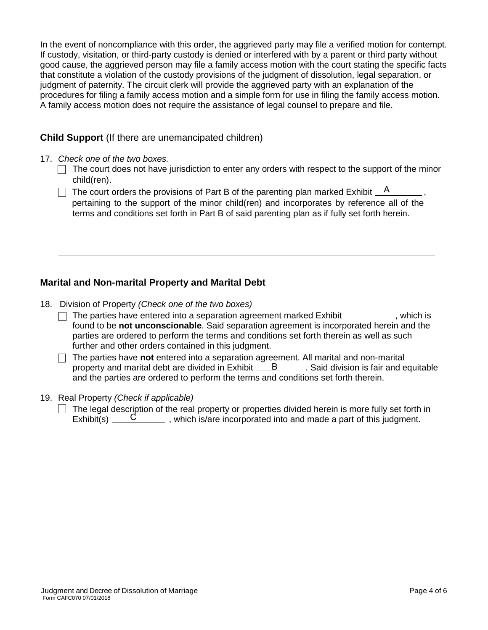In the event of noncompliance with this order, the aggrieved party may file a verified motion for contempt. If custody, visitation, or third-party custody is denied or interfered with by a parent or third party without good cause, the aggrieved person may file a family access motion with the court stating the specific facts that constitute a violation of the custody provisions of the judgment of dissolution, legal separation, or judgment of paternity. The circuit clerk will provide the aggrieved party with an explanation of the procedures for filing a family access motion and a simple form for use in filing the family access motion. A family access motion does not require the assistance of legal counsel to prepare and file.

#### **Child Support** (If there are unemancipated children)

- 17. *Check one of the two boxes.*
	- $\Box$  The court does not have jurisdiction to enter any orders with respect to the support of the minor child(ren).
	- The court orders the provisions of Part B of the parenting plan marked Exhibit  $\_\,$  A  $\_\,$ pertaining to the support of the minor child(ren) and incorporates by reference all of the terms and conditions set forth in Part B of said parenting plan as if fully set forth herein.

### **Marital and Non-marital Property and Marital Debt**

- 18. Division of Property *(Check one of the two boxes)*
	- $\Box$  The parties have entered into a separation agreement marked Exhibit  $\Box$ , which is found to be **not unconscionable**. Said separation agreement is incorporated herein and the parties are ordered to perform the terms and conditions set forth therein as well as such further and other orders contained in this judgment.
	- The parties have **not** entered into a separation agreement. All marital and non-marital property and marital debt are divided in Exhibit  $\underline{\hspace{1cm}}$  B  $\underline{\hspace{1cm}}$  . Said division is fair and equitable and the parties are ordered to perform the terms and conditions set forth therein.

#### 19. Real Property *(Check if applicable)*

The legal description of the real property or properties divided herein is more fully set forth in Exhibit(s)  $\overline{\phantom{a}}$  C  $\overline{\phantom{a}}$ , which is/are incorporated into and made a part of this judgment.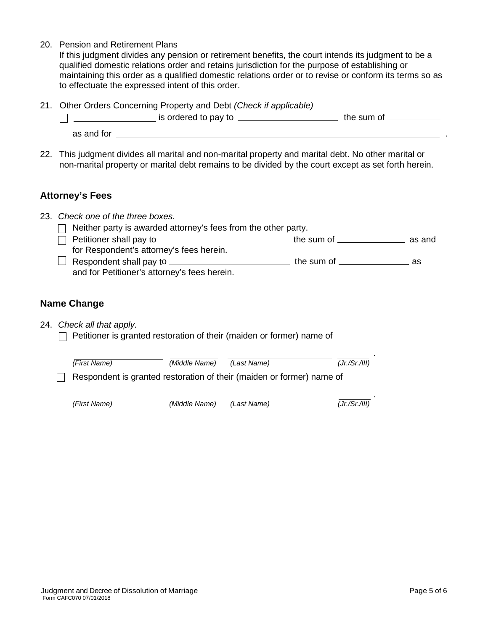20. Pension and Retirement Plans

If this judgment divides any pension or retirement benefits, the court intends its judgment to be a qualified domestic relations order and retains jurisdiction for the purpose of establishing or maintaining this order as a qualified domestic relations order or to revise or conform its terms so as to effectuate the expressed intent of this order.

21. Other Orders Concerning Property and Debt *(Check if applicable)*

|            | is ordered to pay to | the sum of |
|------------|----------------------|------------|
| as and for |                      |            |

22. This judgment divides all marital and non-marital property and marital debt. No other marital or non-marital property or marital debt remains to be divided by the court except as set forth herein.

#### **Attorney's Fees**

| 23. Check one of the three boxes.                                        |                                                                                                                |        |
|--------------------------------------------------------------------------|----------------------------------------------------------------------------------------------------------------|--------|
| Neither party is awarded attorney's fees from the other party.           |                                                                                                                |        |
| $\Box$ Petitioner shall pay to $\Box$ $\Box$ $\Box$ $\Box$ $\Box$ $\Box$ | the sum of ___________                                                                                         | as and |
| for Respondent's attorney's fees herein.                                 |                                                                                                                |        |
| $\Box$ Respondent shall pay to $\Box$                                    | the sum of the same of the same of the same of the same of the same of the same of the same of the same of the | as     |
| and for Petitioner's attorney's fees herein.                             |                                                                                                                |        |

### **Name Change**

24. *Check all that apply.*

 $\Box$  Petitioner is granted restoration of their (maiden or former) name of

| (First Name)                                                          | (Middle Name) | (Last Name) | $\mathbf{r}$<br>(Jr./Sr./III) |
|-----------------------------------------------------------------------|---------------|-------------|-------------------------------|
| Respondent is granted restoration of their (maiden or former) name of |               |             |                               |
| (First Name)                                                          | (Middle Name) | (Last Name) | (Jr./Sr./III)                 |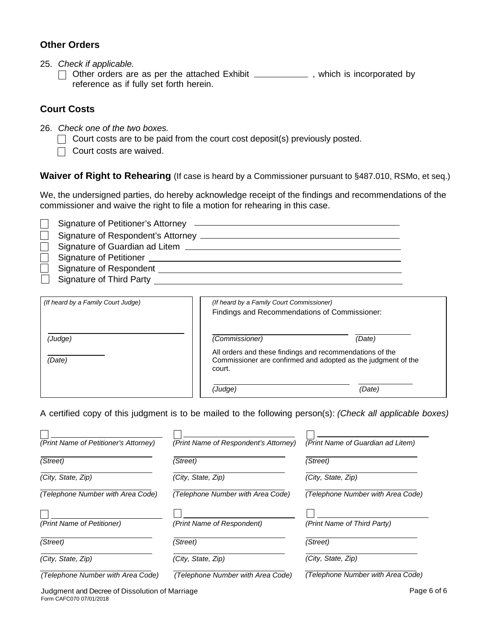#### **Other Orders**

- 25. *Check if applicable.*
	- $\Box$  Other orders are as per the attached Exhibit  $\Box$ , which is incorporated by reference as if fully set forth herein.

#### **Court Costs**

- 26. *Check one of the two boxes.*
	- $\Box$  Court costs are to be paid from the court cost deposit(s) previously posted.
	- $\Box$  Court costs are waived.

**Waiver of Right to Rehearing** (If case is heard by a Commissioner pursuant to §487.010, RSMo, et seq.)

We, the undersigned parties, do hereby acknowledge receipt of the findings and recommendations of the commissioner and waive the right to file a motion for rehearing in this case.

| Signature of Guardian ad Litem ________________ |
|-------------------------------------------------|
|                                                 |
| Signature of Respondent                         |
| <b>Signature of Third Party</b>                 |

| (If heard by a Family Court Judge) | (If heard by a Family Court Commissioner)<br>Findings and Recommendations of Commissioner: |                                                               |  |  |  |  |
|------------------------------------|--------------------------------------------------------------------------------------------|---------------------------------------------------------------|--|--|--|--|
| (Judge)                            | (Commissioner)                                                                             | (Date)                                                        |  |  |  |  |
| (Date)                             | All orders and these findings and recommendations of the<br>court.                         | Commissioner are confirmed and adopted as the judgment of the |  |  |  |  |
|                                    | (Judge)                                                                                    | (Date)                                                        |  |  |  |  |

A certified copy of this judgment is to be mailed to the following person(s): *(Check all applicable boxes)*

| (Print Name of Petitioner's Attorney) | (Print Name of Respondent's Attorney) | (Print Name of Guardian ad Litem) |
|---------------------------------------|---------------------------------------|-----------------------------------|
| (Street)                              | (Street)                              | (Street)                          |
| (City, State, Zip)                    | (City, State, Zip)                    | (City, State, Zip)                |
| (Telephone Number with Area Code)     | (Telephone Number with Area Code)     | (Telephone Number with Area Code) |
| (Print Name of Petitioner)            | (Print Name of Respondent)            | (Print Name of Third Party)       |
| (Street)                              | (Street)                              | (Street)                          |
| (City, State, Zip)                    | (City, State, Zip)                    | (City, State, Zip)                |
| (Telephone Number with Area Code)     | (Telephone Number with Area Code)     | (Telephone Number with Area Code) |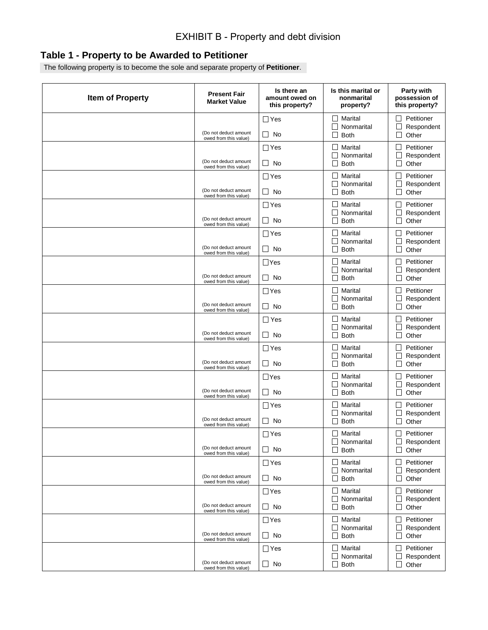# **Table 1 - Property to be Awarded to Petitioner**

The following property is to become the sole and separate property of **Petitioner**.

| <b>Item of Property</b> | <b>Present Fair</b><br><b>Market Value</b>     | Is there an<br>amount owed on<br>this property? | Is this marital or<br>nonmarital<br>property?                                       | Party with<br>possession of<br>this property?                            |
|-------------------------|------------------------------------------------|-------------------------------------------------|-------------------------------------------------------------------------------------|--------------------------------------------------------------------------|
|                         | (Do not deduct amount                          | $\Box$ Yes<br>□<br>No                           | $\perp$<br>Marital<br>Nonmarital<br>$\mathsf{L}$<br><b>Both</b><br>$\Box$           | Petitioner<br>$\blacksquare$<br>Respondent<br>$\vert \ \ \vert$<br>Other |
|                         | owed from this value)                          | $\Box$ Yes                                      | Marital<br>$\vert \ \ \vert$<br>Nonmarital<br>$\mathsf{L}$                          | Petitioner<br>Respondent                                                 |
|                         | (Do not deduct amount<br>owed from this value) | □<br>No                                         | <b>Both</b><br>$\Box$                                                               | $\vert \ \ \vert$<br>Other                                               |
|                         | (Do not deduct amount                          | $\Box$ Yes<br>□<br>No                           | Marital<br>$\vert \ \ \vert$<br>Nonmarital<br>$\mathsf{L}$<br><b>Both</b><br>□      | Petitioner<br>Respondent<br>$\Box$<br>Other                              |
|                         | owed from this value)                          | $\Box$ Yes                                      | Marital<br>$\mathsf{L}$<br>Nonmarital<br>$\mathsf{L}$                               | Petitioner<br>Respondent                                                 |
|                         | (Do not deduct amount<br>owed from this value) | □<br>No                                         | <b>Both</b><br>$\Box$                                                               | Other<br>$\vert \ \ \vert$                                               |
|                         | (Do not deduct amount<br>owed from this value) | $\Box$ Yes<br>□<br>No                           | Marital<br>$\vert \ \ \vert$<br>Nonmarital<br>$\mathsf{L}$<br><b>Both</b><br>$\Box$ | Petitioner<br>Respondent<br>Other<br>$\vert \ \ \vert$                   |
|                         | (Do not deduct amount                          | $\Box$ Yes<br>□<br>No                           | Marital<br>$\vert \ \ \vert$<br>Nonmarital<br>$\mathsf{L}$<br><b>Both</b><br>$\Box$ | Petitioner<br>Respondent<br>$\Box$<br>Other                              |
|                         | owed from this value)                          | $\Box$ Yes                                      | Marital<br>$\mathsf{L}$                                                             | Petitioner                                                               |
|                         | (Do not deduct amount<br>owed from this value) | □<br>No                                         | Nonmarital<br>$\mathsf{L}$<br><b>Both</b><br>$\Box$                                 | Respondent<br>$\Box$<br>Other                                            |
|                         | (Do not deduct amount                          | $\Box$ Yes<br>□<br>No                           | Marital<br>$\mathsf{L}$<br>Nonmarital<br>$\mathsf{L}$<br><b>Both</b>                | Petitioner<br>Respondent<br>Other<br>$\vert \ \ \vert$                   |
|                         | owed from this value)                          | $\Box$ Yes                                      | $\Box$<br>Marital<br>$\vert \ \ \vert$                                              | Petitioner                                                               |
|                         | (Do not deduct amount<br>owed from this value) | □<br>No                                         | Nonmarital<br>$\mathsf{I}$<br><b>Both</b><br>$\Box$                                 | Respondent<br>$\Box$<br>Other                                            |
|                         | (Do not deduct amount                          | $\Box$ Yes<br>□<br>No                           | Marital<br>$\mathsf{L}$<br>Nonmarital<br>$\mathsf{I}$<br><b>Both</b>                | Petitioner<br>Respondent                                                 |
|                         | owed from this value)                          | $\Box$ Yes                                      | $\Box$<br>Marital<br>$\mathsf{L}$                                                   | $\Box$<br>Other<br>Petitioner                                            |
|                         | (Do not deduct amount<br>owed from this value) | □<br>No                                         | Nonmarital<br>$\mathsf{L}$<br><b>Both</b><br>$\Box$                                 | Respondent<br>$\vert \ \ \vert$<br>Other                                 |
|                         | (Do not deduct amount                          | $\Box$ Yes<br>$\Box$ No                         | $\mathsf{L}$<br>Marital<br>Nonmarital<br><b>Both</b><br>$\Box$                      | Petitioner<br>$\Box$ Respondent<br>$\Box$ Other                          |
|                         | owed from this value)                          | $\Box$ Yes                                      | $\Box$ Marital                                                                      | Petitioner<br>LΙ                                                         |
|                         | (Do not deduct amount<br>owed from this value) | $\Box$ No                                       | $\Box$ Nonmarital<br>$\Box$ Both                                                    | Respondent<br>$\Box$ Other                                               |
|                         | (Do not deduct amount                          | $\Box$ Yes<br>$\Box$ No                         | Marital<br>$\perp$<br>$\Box$ Nonmarital                                             | Petitioner<br>$\blacksquare$<br>Respondent                               |
|                         | owed from this value)                          | $\Box$ Yes                                      | $\Box$ Both<br>Marital<br>$\Box$                                                    | $\Box$ Other<br>Petitioner<br>$\Box$                                     |
|                         | (Do not deduct amount<br>owed from this value) | $\Box$ No                                       | $\Box$ Nonmarital<br>$\Box$ Both                                                    | Respondent<br>$\Box$ Other                                               |
|                         |                                                | $\Box$ Yes                                      | Marital<br>$\perp$<br>Nonmarital                                                    | Petitioner<br>$\Box$                                                     |
|                         | (Do not deduct amount<br>owed from this value) | $\Box$ No                                       | $\Box$<br>$\Box$ Both                                                               | Respondent<br>$\Box$ Other                                               |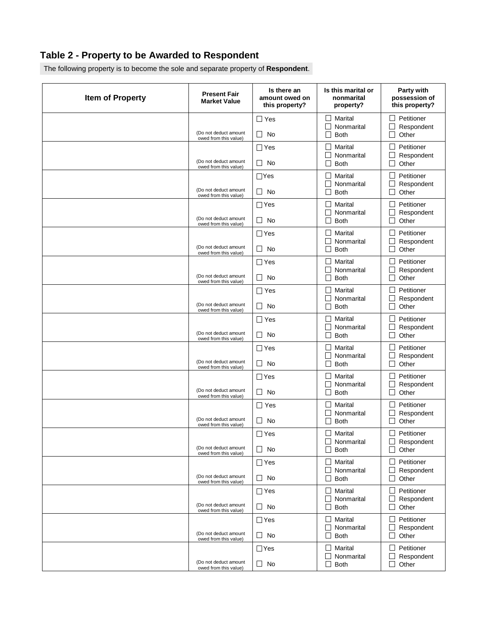# **Table 2 - Property to be Awarded to Respondent**

The following property is to become the sole and separate property of **Respondent**.

| <b>Item of Property</b> | <b>Present Fair</b><br><b>Market Value</b>     | Is there an<br>amount owed on<br>this property? | Is this marital or<br>nonmarital<br>property?                    | Party with<br>possession of<br>this property?                  |
|-------------------------|------------------------------------------------|-------------------------------------------------|------------------------------------------------------------------|----------------------------------------------------------------|
|                         | (Do not deduct amount<br>owed from this value) | $\Box$ Yes<br>$\Box$<br><b>No</b>               | Marital<br>$\mathsf{L}$<br>П<br>Nonmarital<br><b>Both</b>        | Petitioner<br>ΙI<br>$\Box$<br>Respondent<br>$\Box$<br>Other    |
|                         | (Do not deduct amount<br>owed from this value) | $\Box$ Yes<br><b>No</b><br>⊔                    | Marital<br>П<br>Nonmarital<br>Both                               | Petitioner<br>$\Box$<br>Respondent<br>$\Box$<br>Other          |
|                         | (Do not deduct amount<br>owed from this value) | $\Box$ Yes<br>$\Box$<br><b>No</b>               | Marital<br>П<br>Nonmarital<br><b>Both</b>                        | Petitioner<br>$\Box$<br>Respondent<br>$\Box$<br>Other          |
|                         | (Do not deduct amount<br>owed from this value) | $\Box$ Yes<br>$\Box$<br><b>No</b>               | Marital<br>П<br>Nonmarital<br><b>Both</b>                        | Petitioner<br>$\Box$<br>Respondent<br>$\Box$<br>Other          |
|                         | (Do not deduct amount<br>owed from this value) | $\Box$ Yes<br><b>No</b><br>⊔                    | Marital<br>П<br>Nonmarital<br><b>Both</b>                        | Petitioner<br>$\Box$<br>Respondent<br>$\Box$<br>Other          |
|                         | (Do not deduct amount<br>owed from this value) | $\Box$ Yes<br><b>No</b><br>ப                    | Marital<br>$\Box$<br>Nonmarital<br><b>Both</b>                   | Petitioner<br>$\Box$<br>Respondent<br>$\Box$<br>Other          |
|                         | (Do not deduct amount<br>owed from this value) | $\Box$ Yes<br>$\Box$<br><b>No</b>               | Marital<br>П<br>Nonmarital<br><b>Both</b>                        | Petitioner<br>$\Box$<br>Respondent<br>$\Box$<br>Other          |
|                         | (Do not deduct amount<br>owed from this value) | $\square$ Yes<br>$\Box$<br><b>No</b>            | Marital<br>П<br>Nonmarital<br>Both                               | Petitioner<br>$\Box$<br>Respondent<br>$\Box$<br>Other          |
|                         | (Do not deduct amount<br>owed from this value) | $\Box$ Yes<br><b>No</b><br>⊔                    | Marital<br>$\Box$<br>Nonmarital<br><b>Both</b>                   | Petitioner<br>$\Box$<br>Respondent<br>$\Box$<br>Other          |
|                         | (Do not deduct amount<br>owed from this value) | ∐Yes<br><b>No</b><br>ப                          | Marital<br>$\Box$<br>Nonmarital<br><b>Both</b>                   | Petitioner<br>$\Box$<br>Respondent<br>$\Box$<br>Other          |
|                         | (Do not deduct amount<br>owed from this value) | $\Box$ Yes<br>$\Box$<br>No                      | Marital<br>П<br>Nonmarital<br><b>Both</b>                        | Petitioner<br>$\Box$<br>Respondent<br>$\Box$<br>Other          |
|                         | (Do not deduct amount<br>owed from this value) | $\Box$ Yes<br>$\Box$ No                         | $\blacksquare$<br>Marital<br>$\Box$ Nonmarital<br>$\Box$<br>Both | $\mathsf{L}$<br>Petitioner<br>$\Box$ Respondent<br>Other<br>⊔  |
|                         | (Do not deduct amount<br>owed from this value) | $\Box$ Yes<br>$\Box$ No                         | $\Box$ Marital<br>$\Box$ Nonmarital<br>$\Box$ Both               | Petitioner<br>$\Box$<br>$\Box$ Respondent<br>$\Box$<br>Other   |
|                         | (Do not deduct amount<br>owed from this value) | $\Box$ Yes<br>$\Box$ No                         | $\Box$ Marital<br>$\Box$ Nonmarital<br>$\Box$ Both               | Petitioner<br>$\Box$<br>$\Box$ Respondent<br>$\Box$<br>Other   |
|                         | (Do not deduct amount<br>owed from this value) | $\Box$ Yes<br>$\Box$ No                         | $\Box$ Marital<br>$\Box$ Nonmarital<br>$\Box$ Both               | Petitioner<br>$\Box$<br>$\Box$ Respondent<br>□<br>Other        |
|                         | (Do not deduct amount<br>owed from this value) | $\Box$ Yes<br>$\Box$ No                         | Marital<br>$\Box$<br>$\Box$<br>Nonmarital<br>$\Box$ Both         | Petitioner<br>$\sqcup$<br>$\Box$<br>Respondent<br>$\Box$ Other |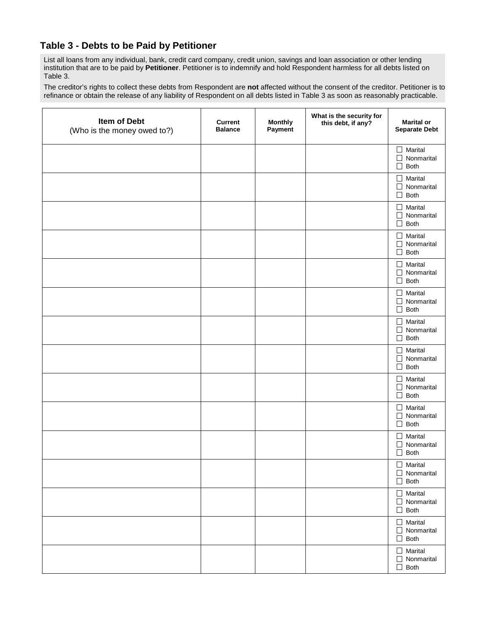## **Table 3 - Debts to be Paid by Petitioner**

List all loans from any individual, bank, credit card company, credit union, savings and loan association or other lending institution that are to be paid by **Petitioner**. Petitioner is to indemnify and hold Respondent harmless for all debts listed on Table 3.

The creditor's rights to collect these debts from Respondent are **not** affected without the consent of the creditor. Petitioner is to refinance or obtain the release of any liability of Respondent on all debts listed in Table 3 as soon as reasonably practicable.

| Item of Debt<br>(Who is the money owed to?) | <b>Current</b><br><b>Balance</b> | <b>Monthly</b><br>Payment | What is the security for<br>this debt, if any? | <b>Marital or</b><br><b>Separate Debt</b>                                       |
|---------------------------------------------|----------------------------------|---------------------------|------------------------------------------------|---------------------------------------------------------------------------------|
|                                             |                                  |                           |                                                | Marital<br>┱<br>Nonmarital<br>П<br><b>Both</b><br>П                             |
|                                             |                                  |                           |                                                | Marital<br>$\overline{\phantom{a}}$<br>Nonmarital<br>П<br><b>Both</b><br>П      |
|                                             |                                  |                           |                                                | Marital<br>$\Box$<br>Nonmarital<br>П<br><b>Both</b><br>П                        |
|                                             |                                  |                           |                                                | Marital<br>$\overline{\phantom{a}}$<br>Nonmarital<br>П<br><b>Both</b><br>$\Box$ |
|                                             |                                  |                           |                                                | Marital<br>- 1<br>Nonmarital<br>П<br><b>Both</b><br>$\Box$                      |
|                                             |                                  |                           |                                                | Marital<br>- 1<br>Nonmarital<br>П<br><b>Both</b><br>П                           |
|                                             |                                  |                           |                                                | Marital<br>$\perp$<br>Nonmarital<br>П<br><b>Both</b><br>П                       |
|                                             |                                  |                           |                                                | Marital<br>$\overline{\phantom{a}}$<br>Nonmarital<br>П<br><b>Both</b><br>П      |
|                                             |                                  |                           |                                                | Marital<br>$\blacksquare$<br>Nonmarital<br>П<br><b>Both</b><br>П                |
|                                             |                                  |                           |                                                | Marital<br>- 1<br>Nonmarital<br>П<br><b>Both</b><br>$\Box$                      |
|                                             |                                  |                           |                                                | Marital<br>Nonmarital<br>$\mathsf{L}$<br>Both<br>⊔                              |
|                                             |                                  |                           |                                                | $\Box$ Marital<br>$\Box$ Nonmarital<br>Both<br>$\Box$                           |
|                                             |                                  |                           |                                                | $\Box$ Marital<br>$\Box$ Nonmarital<br>Both<br>$\Box$                           |
|                                             |                                  |                           |                                                | $\Box$ Marital<br>$\Box$ Nonmarital<br>Both<br>$\Box$                           |
|                                             |                                  |                           |                                                | $\Box$ Marital<br>$\Box$ Nonmarital<br>Both<br>П                                |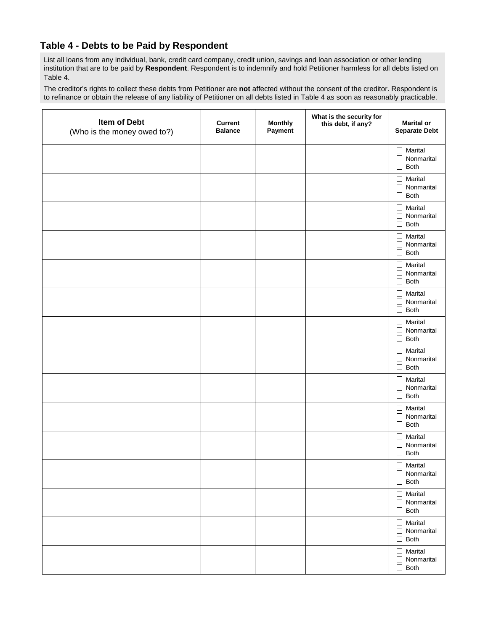## **Table 4 - Debts to be Paid by Respondent**

List all loans from any individual, bank, credit card company, credit union, savings and loan association or other lending institution that are to be paid by **Respondent**. Respondent is to indemnify and hold Petitioner harmless for all debts listed on Table 4.

The creditor's rights to collect these debts from Petitioner are **not** affected without the consent of the creditor. Respondent is to refinance or obtain the release of any liability of Petitioner on all debts listed in Table 4 as soon as reasonably practicable.

| Item of Debt<br>(Who is the money owed to?) | <b>Current</b><br><b>Balance</b> | <b>Monthly</b><br>Payment | What is the security for<br>this debt, if any? | <b>Marital or</b><br><b>Separate Debt</b>                                  |
|---------------------------------------------|----------------------------------|---------------------------|------------------------------------------------|----------------------------------------------------------------------------|
|                                             |                                  |                           |                                                | Marital<br>$\Box$<br>Nonmarital<br>$\Box$<br><b>Both</b><br>$\Box$         |
|                                             |                                  |                           |                                                | Marital<br>$\Box$<br>Nonmarital<br>$\Box$<br><b>Both</b><br>$\Box$         |
|                                             |                                  |                           |                                                | Marital<br>$\Box$<br>Nonmarital<br>$\Box$<br><b>Both</b><br>$\blacksquare$ |
|                                             |                                  |                           |                                                | Marital<br>$\Box$<br>Nonmarital<br>$\Box$<br><b>Both</b><br>$\Box$         |
|                                             |                                  |                           |                                                | Marital<br>$\Box$<br>Nonmarital<br>$\Box$<br><b>Both</b><br>$\Box$         |
|                                             |                                  |                           |                                                | Marital<br>$\Box$<br>Nonmarital<br>$\Box$<br><b>Both</b><br>$\Box$         |
|                                             |                                  |                           |                                                | Marital<br>$\Box$<br>Nonmarital<br>$\Box$<br><b>Both</b><br>$\sqcup$       |
|                                             |                                  |                           |                                                | Marital<br>$\Box$<br>Nonmarital<br>$\Box$<br><b>Both</b><br>$\sqcup$       |
|                                             |                                  |                           |                                                | Marital<br>$\Box$<br>Nonmarital<br>$\Box$<br><b>Both</b><br>$\sqcup$       |
|                                             |                                  |                           |                                                | Marital<br>$\Box$<br>Nonmarital<br>$\Box$<br><b>Both</b><br>$\sqcup$       |
|                                             |                                  |                           |                                                | Marital<br>$\Box$<br>Nonmarital<br>$\Box$<br>Both<br>$\sqcup$              |
|                                             |                                  |                           |                                                | $\Box$ Marital<br>$\Box$ Nonmarital<br>$\Box$ Both                         |
|                                             |                                  |                           |                                                | $\Box$ Marital<br>$\Box$ Nonmarital<br>$\Box$ Both                         |
|                                             |                                  |                           |                                                | $\Box$ Marital<br>$\Box$ Nonmarital<br>$\Box$ Both                         |
|                                             |                                  |                           |                                                | $\Box$ Marital<br>$\Box$ Nonmarital<br>Both<br>$\mathsf{L}$                |